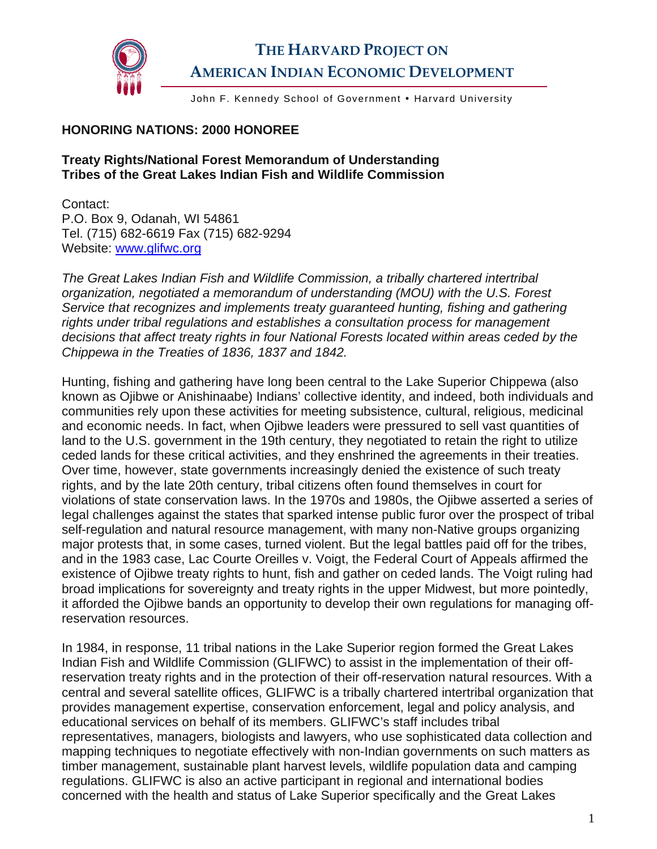

John F. Kennedy School of Government . Harvard University

## **HONORING NATIONS: 2000 HONOREE**

## **Treaty Rights/National Forest Memorandum of Understanding Tribes of the Great Lakes Indian Fish and Wildlife Commission**

Contact: P.O. Box 9, Odanah, WI 54861 Tel. (715) 682-6619 Fax (715) 682-9294 Website: [www.glifwc.org](http://www.glifwc.org/)

*The Great Lakes Indian Fish and Wildlife Commission, a tribally chartered intertribal organization, negotiated a memorandum of understanding (MOU) with the U.S. Forest Service that recognizes and implements treaty guaranteed hunting, fishing and gathering rights under tribal regulations and establishes a consultation process for management decisions that affect treaty rights in four National Forests located within areas ceded by the Chippewa in the Treaties of 1836, 1837 and 1842.* 

Hunting, fishing and gathering have long been central to the Lake Superior Chippewa (also known as Ojibwe or Anishinaabe) Indians' collective identity, and indeed, both individuals and communities rely upon these activities for meeting subsistence, cultural, religious, medicinal and economic needs. In fact, when Ojibwe leaders were pressured to sell vast quantities of land to the U.S. government in the 19th century, they negotiated to retain the right to utilize ceded lands for these critical activities, and they enshrined the agreements in their treaties. Over time, however, state governments increasingly denied the existence of such treaty rights, and by the late 20th century, tribal citizens often found themselves in court for violations of state conservation laws. In the 1970s and 1980s, the Ojibwe asserted a series of legal challenges against the states that sparked intense public furor over the prospect of tribal self-regulation and natural resource management, with many non-Native groups organizing major protests that, in some cases, turned violent. But the legal battles paid off for the tribes, and in the 1983 case, Lac Courte Oreilles v. Voigt, the Federal Court of Appeals affirmed the existence of Ojibwe treaty rights to hunt, fish and gather on ceded lands. The Voigt ruling had broad implications for sovereignty and treaty rights in the upper Midwest, but more pointedly, it afforded the Ojibwe bands an opportunity to develop their own regulations for managing offreservation resources.

In 1984, in response, 11 tribal nations in the Lake Superior region formed the Great Lakes Indian Fish and Wildlife Commission (GLIFWC) to assist in the implementation of their offreservation treaty rights and in the protection of their off-reservation natural resources. With a central and several satellite offices, GLIFWC is a tribally chartered intertribal organization that provides management expertise, conservation enforcement, legal and policy analysis, and educational services on behalf of its members. GLIFWC's staff includes tribal representatives, managers, biologists and lawyers, who use sophisticated data collection and mapping techniques to negotiate effectively with non-Indian governments on such matters as timber management, sustainable plant harvest levels, wildlife population data and camping regulations. GLIFWC is also an active participant in regional and international bodies concerned with the health and status of Lake Superior specifically and the Great Lakes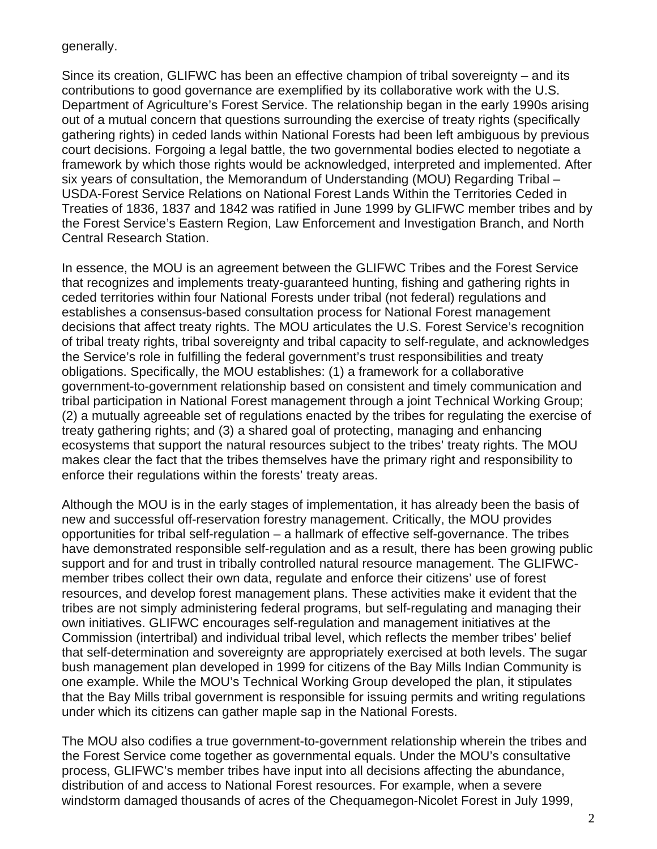## generally.

Since its creation, GLIFWC has been an effective champion of tribal sovereignty – and its contributions to good governance are exemplified by its collaborative work with the U.S. Department of Agriculture's Forest Service. The relationship began in the early 1990s arising out of a mutual concern that questions surrounding the exercise of treaty rights (specifically gathering rights) in ceded lands within National Forests had been left ambiguous by previous court decisions. Forgoing a legal battle, the two governmental bodies elected to negotiate a framework by which those rights would be acknowledged, interpreted and implemented. After six years of consultation, the Memorandum of Understanding (MOU) Regarding Tribal – USDA-Forest Service Relations on National Forest Lands Within the Territories Ceded in Treaties of 1836, 1837 and 1842 was ratified in June 1999 by GLIFWC member tribes and by the Forest Service's Eastern Region, Law Enforcement and Investigation Branch, and North Central Research Station.

In essence, the MOU is an agreement between the GLIFWC Tribes and the Forest Service that recognizes and implements treaty-guaranteed hunting, fishing and gathering rights in ceded territories within four National Forests under tribal (not federal) regulations and establishes a consensus-based consultation process for National Forest management decisions that affect treaty rights. The MOU articulates the U.S. Forest Service's recognition of tribal treaty rights, tribal sovereignty and tribal capacity to self-regulate, and acknowledges the Service's role in fulfilling the federal government's trust responsibilities and treaty obligations. Specifically, the MOU establishes: (1) a framework for a collaborative government-to-government relationship based on consistent and timely communication and tribal participation in National Forest management through a joint Technical Working Group; (2) a mutually agreeable set of regulations enacted by the tribes for regulating the exercise of treaty gathering rights; and (3) a shared goal of protecting, managing and enhancing ecosystems that support the natural resources subject to the tribes' treaty rights. The MOU makes clear the fact that the tribes themselves have the primary right and responsibility to enforce their regulations within the forests' treaty areas.

Although the MOU is in the early stages of implementation, it has already been the basis of new and successful off-reservation forestry management. Critically, the MOU provides opportunities for tribal self-regulation – a hallmark of effective self-governance. The tribes have demonstrated responsible self-regulation and as a result, there has been growing public support and for and trust in tribally controlled natural resource management. The GLIFWCmember tribes collect their own data, regulate and enforce their citizens' use of forest resources, and develop forest management plans. These activities make it evident that the tribes are not simply administering federal programs, but self-regulating and managing their own initiatives. GLIFWC encourages self-regulation and management initiatives at the Commission (intertribal) and individual tribal level, which reflects the member tribes' belief that self-determination and sovereignty are appropriately exercised at both levels. The sugar bush management plan developed in 1999 for citizens of the Bay Mills Indian Community is one example. While the MOU's Technical Working Group developed the plan, it stipulates that the Bay Mills tribal government is responsible for issuing permits and writing regulations under which its citizens can gather maple sap in the National Forests.

The MOU also codifies a true government-to-government relationship wherein the tribes and the Forest Service come together as governmental equals. Under the MOU's consultative process, GLIFWC's member tribes have input into all decisions affecting the abundance, distribution of and access to National Forest resources. For example, when a severe windstorm damaged thousands of acres of the Chequamegon-Nicolet Forest in July 1999,